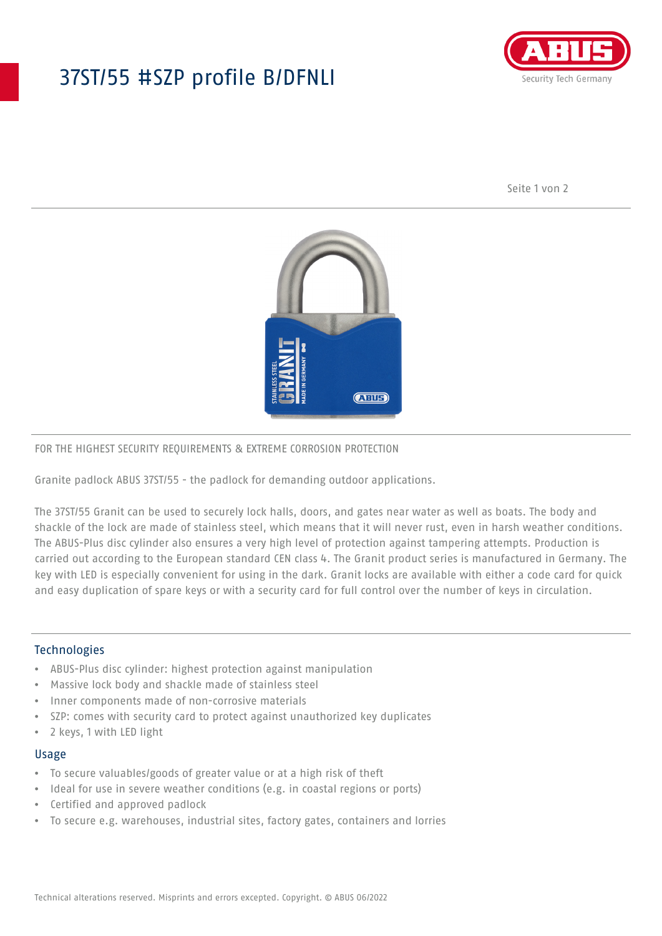## 37ST/55 #SZP profile B/DFNLI



Seite 1 von 2



#### FOR THE HIGHEST SECURITY REQUIREMENTS & EXTREME CORROSION PROTECTION

Granite padlock ABUS 37ST/55 - the padlock for demanding outdoor applications.

The 37ST/55 Granit can be used to securely lock halls, doors, and gates near water as well as boats. The body and shackle of the lock are made of stainless steel, which means that it will never rust, even in harsh weather conditions. The ABUS-Plus disc cylinder also ensures a very high level of protection against tampering attempts. Production is carried out according to the European standard CEN class 4. The Granit product series is manufactured in Germany. The key with LED is especially convenient for using in the dark. Granit locks are available with either a code card for quick and easy duplication of spare keys or with a security card for full control over the number of keys in circulation.

#### Technologies

- ABUS-Plus disc cylinder: highest protection against manipulation
- Massive lock body and shackle made of stainless steel
- Inner components made of non-corrosive materials
- SZP: comes with security card to protect against unauthorized key duplicates
- 2 keys, 1 with LED light

#### Usage

- To secure valuables/goods of greater value or at a high risk of theft
- Ideal for use in severe weather conditions (e.g. in coastal regions or ports)
- Certified and approved padlock
- To secure e.g. warehouses, industrial sites, factory gates, containers and lorries